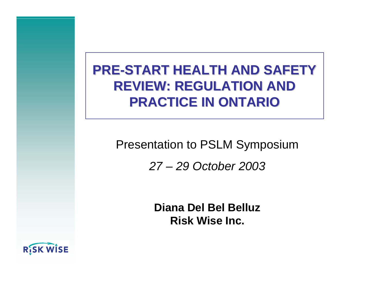#### **PRE-START HEALTH AND SAFETY PRE-START HEALTH AND SAFETYREVIEW: REGULATION AND REVIEW: REGULATION ANDPRACTICE IN ONTARIO PRACTICE IN ONTARIO**

# Presentation to PSLM Symposium

#### *27 – 29 October 2003*

**Diana Del Bel BelluzRisk Wise Inc.**

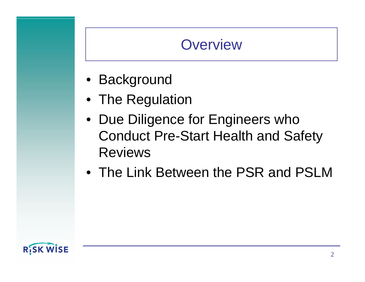### **Overview**

- Background
- The Regulation
- Due Diligence for Engineers who Conduct Pre-Start Health and Safety Reviews
- The Link Between the PSR and PSLM

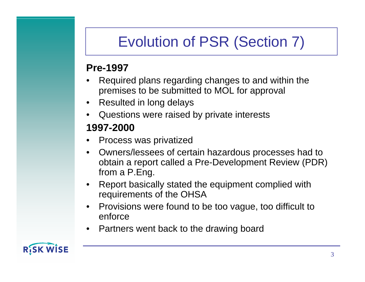# Evolution of PSR (Section 7)

#### **Pre-1997**

- • Required plans regarding changes to and within the premises to be submitted to MOL for approval
- •Resulted in long delays
- •Questions were raised by private interests

#### **1997-2000**

- •Process was privatized
- • Owners/lessees of certain hazardous processes had to obtain a report called a Pre-Development Review (PDR) from a P.Eng.
- • Report basically stated the equipment complied with requirements of the OHSA
- • Provisions were found to be too vague, too difficult to enforce
- •Partners went back to the drawing board

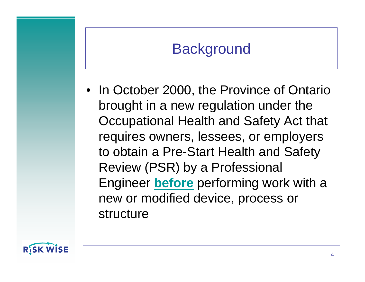# **Background**

• In October 2000, the Province of Ontario brought in a new regulation under the Occupational Health and Safety Act that requires owners, lessees, or employers to obtain a Pre-Start Health and Safety Review (PSR) by a Professional Engineer **before** performing work with a new or modified device, process or structure

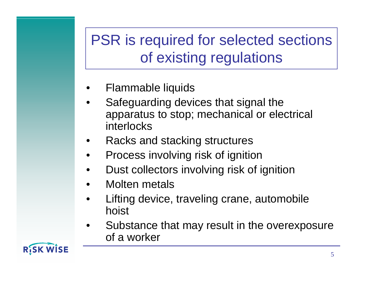# PSR is required for selected sections of existing regulations

- •Flammable liquids
- • Safeguarding devices that signal the apparatus to stop; mechanical or electrical interlocks
- •Racks and stacking structures
- •Process involving risk of ignition
- •Dust collectors involving risk of ignition
- •Molten metals
- • Lifting device, traveling crane, automobile hoist
- • Substance that may result in the overexposure of a worker

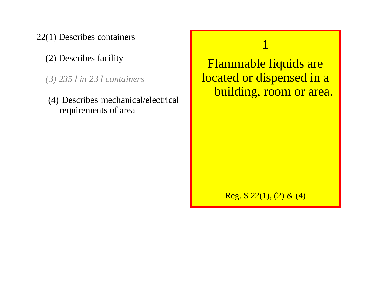22(1) Describes containers

(2) Describes facility

*(3) 235 l in 23 l containers*

 (4) Describes mechanical/electrical requirements of area

#### **1**

Flammable liquids are located or dispensed in a building, room or area.

Reg. S  $22(1)$ ,  $(2)$  &  $(4)$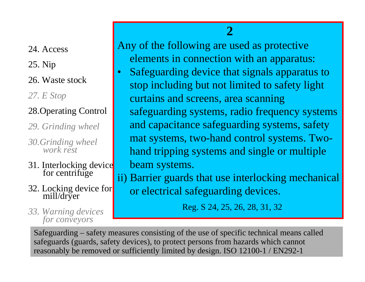24. Access

25. Nip

26. Waste stock

*27. E Stop*

#### 28.Operating Control

•

*29. Grinding wheel*

*30.Grinding wheel work rest*

- 31. Interlocking device<br>for centrifuge
- 32. Locking device for mill/dryer

# *33. Warning devices for conveyors for conveyors*

Any of the following are used as protective elements in connection with an apparatus:

**2**

 Safeguarding device that signals apparatus to stop including but not limited to safety light curtains and screens, area scanning safeguarding systems, radio frequency systems and capacitance safeguarding systems, safety mat systems, two-hand control systems. Twohand tripping systems and single or multiple beam systems.

ii) Barrier guards that use interlocking mechanical or electrical safeguarding devices.

Safeguarding – safety measures consisting of the use of specific technical means called safeguards (guards, safety devices), to protect persons from hazards which cannot reasonably be removed or sufficiently limited by design. ISO 12100-1 / EN292-1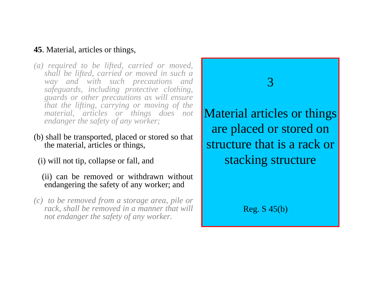#### **45**. Material, articles or things,

- *(a) required to be lifted, carried or moved, shall be lifted, carried or moved in such a way and with such precautions and safeguards, including protective clothing, guards or other precautions as will ensure that the lifting, carrying or moving of the material, articles or things does not endanger the safety of any worker;*
- (b) shall be transported, placed or stored so that the material, articles or things,
	- (i) will not tip, collapse or fall, and
		- (ii) can be removed or withdrawn without endangering the safety of any worker; and
- *(c) to be removed from a storage area, pile or rack, shall be removed in a manner that will not endanger the safety of any worker.*

3Material articles or things are placed or stored on structure that is a rack orstacking structure

Reg. S 45(b)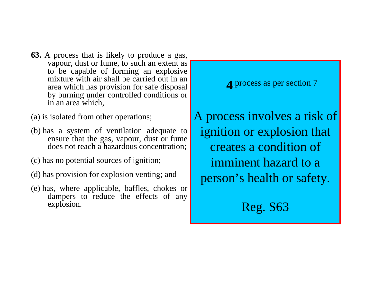- **63.** A process that is likely to produce a gas, vapour, dust or fume, to such an extent as to be capable of forming an explosive mixture with air shall be carried out in an area which has provision for safe disposal by burning under controlled conditions or in an area which,
- (a) is isolated from other operations;
- (b) has a system of ventilation adequate to ensure that the gas, vapour, dust or fume does not reach a hazardous concentration;
- (c) has no potential sources of ignition;
- (d) has provision for explosion venting; and
- (e) has, where applicable, baffles, chokes or dampers to reduce the effects of any explosion.

**4** process as per section 7

A process involves a risk of ignition or explosion that creates a condition ofimminent hazard to aperson's health or safety.

Reg. S63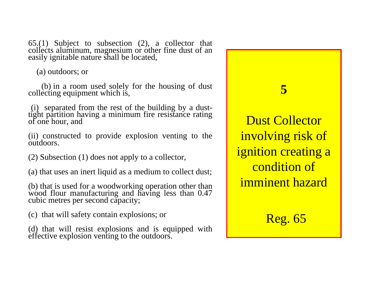65.(1) Subject to subsection (2), a collector that collects aluminum, magnesium or other fine dust of an easily ignitable nature shall be located,

(a) outdoors; or

(b) in a room used solely for the housing of dust collecting equipment which is,

(i) separated from the rest of the building by a dust- tight partition having a minimum fire resistance rating of one hour, and

(ii) constructed to provide explosion venting to the outdoors.

(2) Subsection (1) does not apply to a collector,

(a) that uses an inert liquid as a medium to collect dust;

(b) that is used for a woodworking operation other than wood flour manufacturing and having less than 0.47 cubic metres per second capacity;

(c) that will safety contain explosions; or

(d) that will resist explosions and is equipped with effective explosion venting to the outdoors.

**5**

Dust Collector involving risk of ignition creating a condition ofimminent hazard

Reg. 65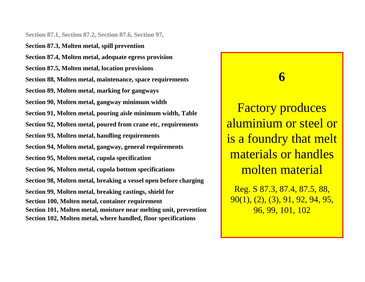**Section 87.1, Section 87.2, Section 87.6, Section 97,**

**Section 87.3, Molten metal, spill prevention Section 87.4, Molten metal, adequate egress provision Section 87.5, Molten metal, location provisions Section 88, Molten metal, maintenance, space requirements Section 89, Molten metal, marking for gangways Section 90, Molten metal, gangway minimum width Section 91, Molten metal, pouring aisle minimum width, Table Section 92, Molten metal, poured from crane etc, requirements Section 93, Molten metal, handling requirements Section 94, Molten metal, gangway, general requirements Section 95, Molten metal, cupola specification Section 96, Molten metal, cupola bottom specifications Section 98, Molten metal, breaking a vessel open before charging Section 99, Molten metal, breaking castings, shield for Section 100, Molten metal, container requirement Section 101, Molten metal, moisture near melting unit, prevention Section 102, Molten metal, where handled, floor specifications**

Factory produces aluminium or steel oris a foundry that melt materials or handlesmolten material

**6**

Reg. S 87.3, 87.4, 87.5, 88, 90(1), (2), (3), 91, 92, 94, 95, 96, 99, 101, 102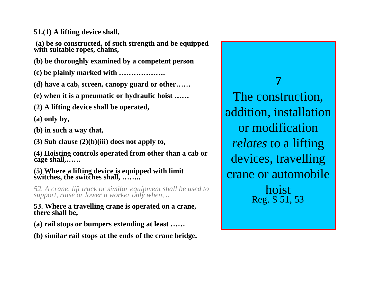**51.(1) A lifting device shall,**

 **(a) be so constructed, of such strength and be equipped with suitable ropes, chains,**

**(b) be thoroughly examined by a competent person**

**(c) be plainly marked with ……………….**

**(d) have a cab, screen, canopy guard or other……**

**(e) when it is a pneumatic or hydraulic hoist ……**

**(2) A lifting device shall be operated,**

**(a) only by,**

**(b) in such a way that,**

**(3) Sub clause (2)(b)(iii) does not apply to,**

**(4) Hoisting controls operated from other than a cab or cage shall,……**

#### **(5) Where a lifting device is equipped with limit switches, the switches shall, ……..**

*52. A crane, lift truck or similar equipment shall be used to support, raise or lower a worker only when, ..*

**53. Where a travelling crane is operated on a crane, there shall be,**

**(a) rail stops or bumpers extending at least ……**

**(b) similar rail stops at the ends of the crane bridge.**

**7**The construction, addition, installation or modification*relates* to a lifting devices, travelling crane or automobilehoistReg. S 51, 53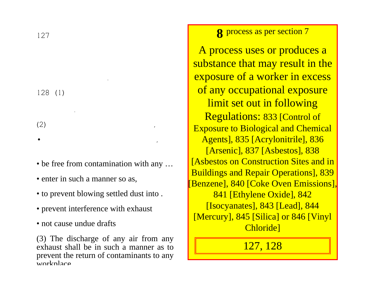127

128 (1)

.

.

 $(2)$ 

• be free from contamination with any ...

• ,

- enter in such a manner so as,
- to prevent blowing settled dust into .
- prevent interference with exhaust
- not cause undue drafts

(3) The discharge of any air from any exhaust shall be in such a manner as toprevent the return of contaminants to any workplace

**8** process as per section 7

A process uses or produces a substance that may result in the exposure of a worker in excess of any occupational exposure limit set out in following Regulations: 833 [Control of Exposure to Biological and Chemical Agents], 835 [Acrylonitrile], 836 [Arsenic], 837 [Asbestos], 838 **[Asbestos on Construction Sites and in** Buildings and Repair Operations], 839 [Benzene], 840 [Coke Oven Emissions], 841 [Ethylene Oxide], 842 [Isocyanates], 843 [Lead], 844 [Mercury], 845 [Silica] or 846 [Vinyl Chloride]

127, 128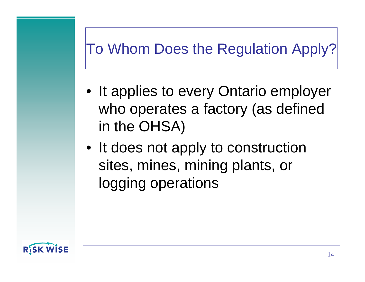# To Whom Does the Regulation Apply?

- It applies to every Ontario employer who operates a factory (as defined in the OHSA)
- It does not apply to construction sites, mines, mining plants, or logging operations

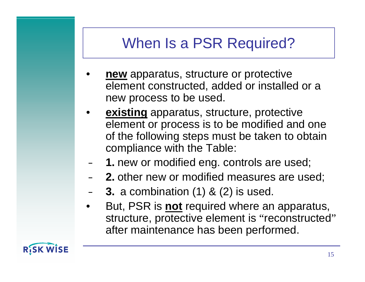### When Is a PSR Required?

- • **new** apparatus, structure or protective element constructed, added or installed or a new process to be used.
- • **existing** apparatus, structure, protective element or process is to be modified and one of the following steps must be taken to obtain compliance with the Table:
- –**1.** new or modified eng. controls are used;
- –**2.** other new or modified measures are used;
- **Holland 3.** a combination (1) & (2) is used.
- • But, PSR is **not** required where an apparatus, structure, protective element is "reconstructed ,, after maintenance has been performed.

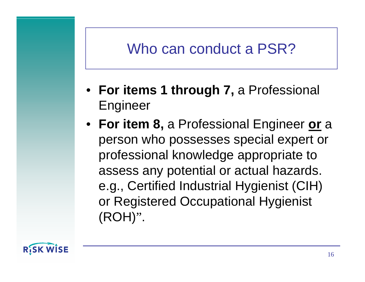#### Who can conduct a PSR?

- **For items 1 through 7,** a Professional Engineer
- **For item 8,** a Professional Engineer **or**<sup>a</sup> person who possesses special expert or professional knowledge appropriate to assess any potential or actual hazards. e.g., Certified Industrial Hygienist (CIH) or Registered Occupational Hygienist (ROH) ".

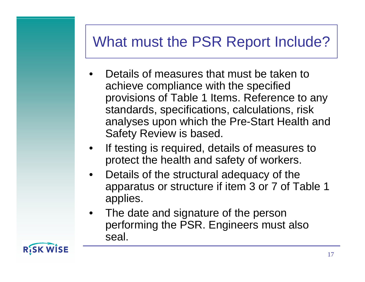#### What must the PSR Report Include?

- • Details of measures that must be taken toachieve compliance with the specified provisions of Table 1 Items. Reference to any standards, specifications, calculations, risk analyses upon which the Pre-Start Health and Safety Review is based.
- • If testing is required, details of measures to protect the health and safety of workers.
- • Details of the structural adequacy of the apparatus or structure if item 3 or 7 of Table 1 applies.
- • The date and signature of the person performing the PSR. Engineers must also seal.

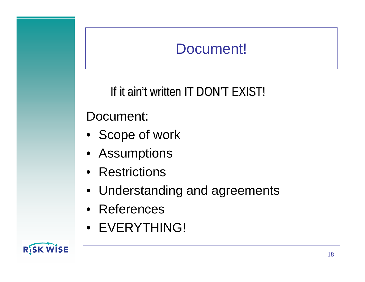## Document!

#### If it ain't written IT DON'T EXIST!

#### Document:

- Scope of work
- Assumptions
- Restrictions
- Understanding and agreements
- References
- EVERYTHING!

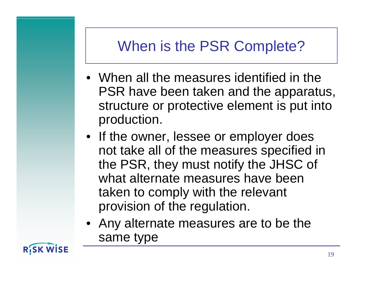# When is the PSR Complete?

- When all the measures identified in the PSR have been taken and the apparatus, structure or protective element is put into production.
- If the owner, lessee or employer does not take all of the measures specified in the PSR, they must notify the JHSC of what alternate measures have beentaken to comply with the relevant provision of the regulation.
- Any alternate measures are to be the same type

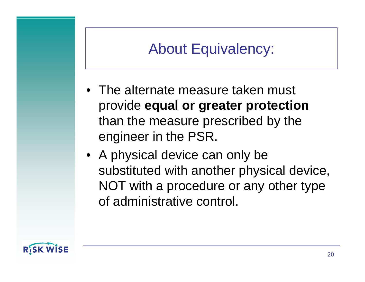#### About Equivalency:

- The alternate measure taken must provide **equal or greater protection** than the measure prescribed by the engineer in the PSR.
- A physical device can only be substituted with another physical device, NOT with a procedure or any other type of administrative control.

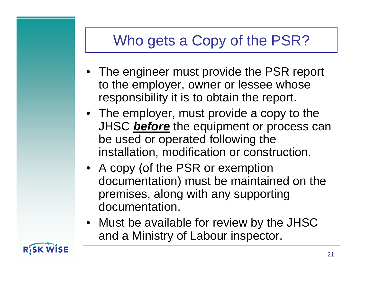# Who gets a Copy of the PSR?

- The engineer must provide the PSR report to the employer, owner or lessee whose responsibility it is to obtain the report.
- The employer, must provide a copy to the JHSC *before* the equipment or process can be used or operated following the installation, modification or construction.
- A copy (of the PSR or exemption documentation) must be maintained on the premises, along with any supporting documentation.
- Must be available for review by the JHSC and a Ministry of Labour inspector.

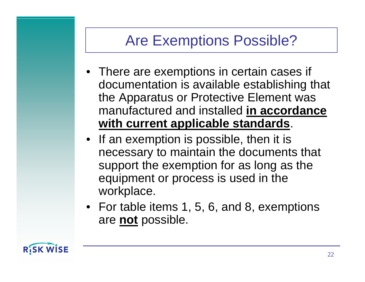# Are Exemptions Possible?

- There are exemptions in certain cases if documentation is available establishing that the Apparatus or Protective Element was manufactured and installed **in accordance with current applicable standards**.
- If an exemption is possible, then it is necessary to maintain the documents that support the exemption for as long as the equipment or process is used in the workplace.
- For table items 1, 5, 6, and 8, exemptions are **not** possible.

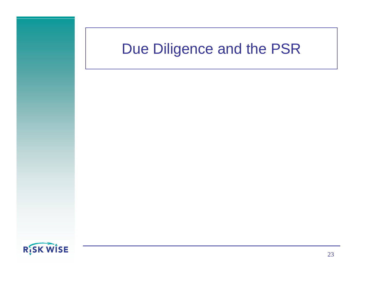#### Due Diligence and the PSR

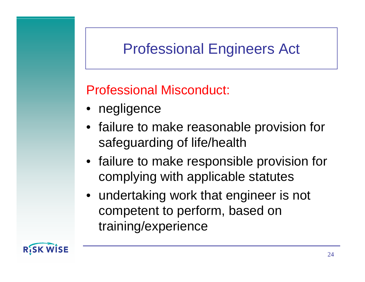# Professional Engineers Act

Professional Misconduct:

- negligence
- failure to make reasonable provision for safeguarding of life/health
- failure to make responsible provision for complying with applicable statutes
- undertaking work that engineer is not competent to perform, based on training/experience

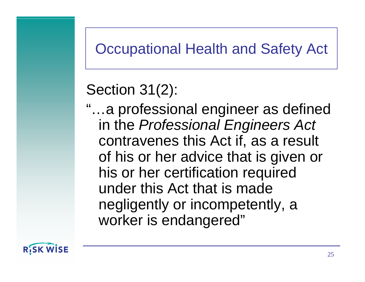#### Occupational Health and Safety Act

### Section 31(2):

"…a professional engineer as defined in the *Professional Engineers Act* contravenes this Act if, as a result of his or her advice that is given or his or her certification required under this Act that is madenegligently or incompetently, a worker is endangered"

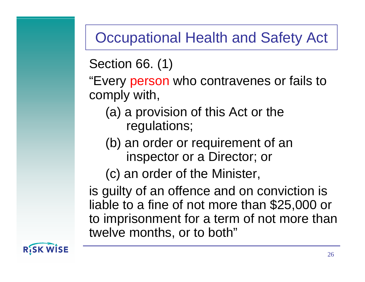#### Occupational Health and Safety Act

Section 66. (1)

"Every person who contravenes or fails to comply with,

- (a) a provision of this Act or the regulations;
- (b) an order or requirement of an inspector or a Director; or

(c) an order of the Minister,

is guilty of an offence and on conviction is liable to a fine of not more than \$25,000 or to imprisonment for a term of not more than twelve months, or to both"

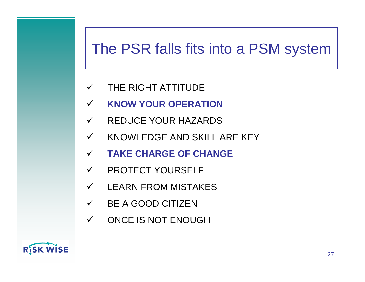#### The PSR falls fits into a PSM system

- $\checkmark$ THE RIGHT ATTITUDE
- $\checkmark$ **KNOW YOUR OPERATION**
- $\checkmark$ REDUCE YOUR HAZARDS
- $\checkmark$ KNOWLEDGE AND SKILL ARE KEY
- $\checkmark$ **TAKE CHARGE OF CHANGE**
- $\checkmark$ PROTECT YOURSELF
- $\checkmark$ LEARN FROM MISTAKES
- $\checkmark$ BE A GOOD CITIZEN
- $\checkmark$ ONCE IS NOT ENOUGH

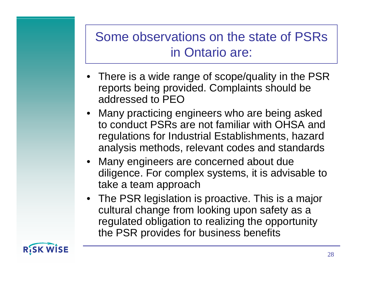#### Some observations on the state of PSRs in Ontario are:

- There is a wide range of scope/quality in the PSR reports being provided. Complaints should be addressed to PEO
- Many practicing engineers who are being asked to conduct PSRs are not familiar with OHSA andregulations for Industrial Establishments, hazard analysis methods, relevant codes and standards
- Many engineers are concerned about due diligence. For complex systems, it is advisable to take a team approach
- The PSR legislation is proactive. This is a major cultural change from looking upon safety as a regulated obligation to realizing the opportunity the PSR provides for business benefits

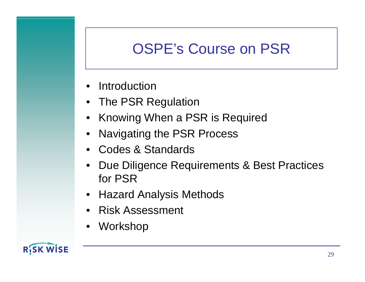# OSPE's Course on PSR

- Introduction
- The PSR Regulation
- Knowing When a PSR is Required
- •Navigating the PSR Process
- Codes & Standards
- • Due Diligence Requirements & Best Practices for PSR
- Hazard Analysis Methods
- •Risk Assessment
- •Workshop